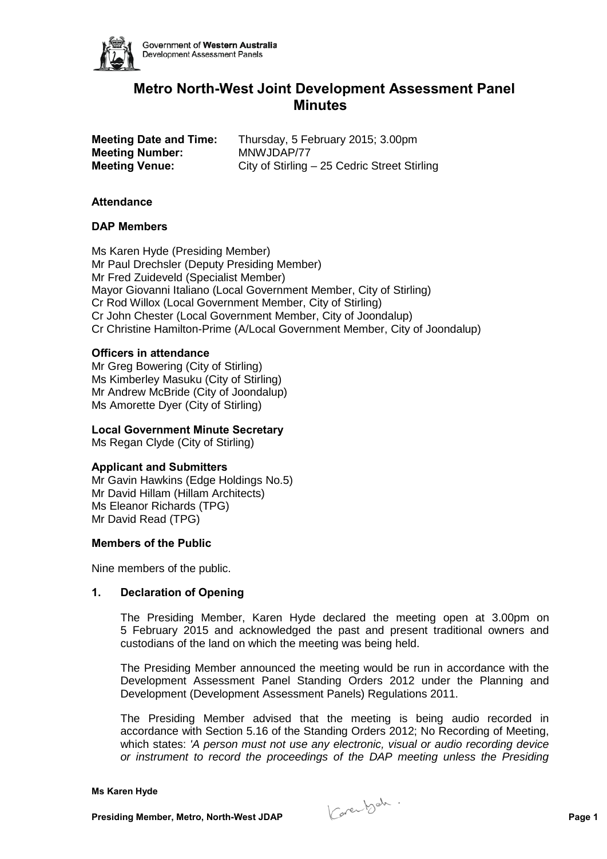

# **Metro North-West Joint Development Assessment Panel Minutes**

| <b>Meeting Date and Time:</b> | Thursday, 5 February 2015; 3.00pm            |
|-------------------------------|----------------------------------------------|
| <b>Meeting Number:</b>        | MNWJDAP/77                                   |
| <b>Meeting Venue:</b>         | City of Stirling - 25 Cedric Street Stirling |

### **Attendance**

### **DAP Members**

Ms Karen Hyde (Presiding Member) Mr Paul Drechsler (Deputy Presiding Member) Mr Fred Zuideveld (Specialist Member) Mayor Giovanni Italiano (Local Government Member, City of Stirling) Cr Rod Willox (Local Government Member, City of Stirling) Cr John Chester (Local Government Member, City of Joondalup) Cr Christine Hamilton-Prime (A/Local Government Member, City of Joondalup)

### **Officers in attendance**

Mr Greg Bowering (City of Stirling) Ms Kimberley Masuku (City of Stirling) Mr Andrew McBride (City of Joondalup) Ms Amorette Dyer (City of Stirling)

#### **Local Government Minute Secretary**

Ms Regan Clyde (City of Stirling)

#### **Applicant and Submitters**

Mr Gavin Hawkins (Edge Holdings No.5) Mr David Hillam (Hillam Architects) Ms Eleanor Richards (TPG) Mr David Read (TPG)

#### **Members of the Public**

Nine members of the public.

# **1. Declaration of Opening**

The Presiding Member, Karen Hyde declared the meeting open at 3.00pm on 5 February 2015 and acknowledged the past and present traditional owners and custodians of the land on which the meeting was being held.

The Presiding Member announced the meeting would be run in accordance with the Development Assessment Panel Standing Orders 2012 under the Planning and Development (Development Assessment Panels) Regulations 2011.

The Presiding Member advised that the meeting is being audio recorded in accordance with Section 5.16 of the Standing Orders 2012; No Recording of Meeting, which states: *'A person must not use any electronic, visual or audio recording device or instrument to record the proceedings of the DAP meeting unless the Presiding* 

**Presiding Member, Metro, North-West JDAP Page 1**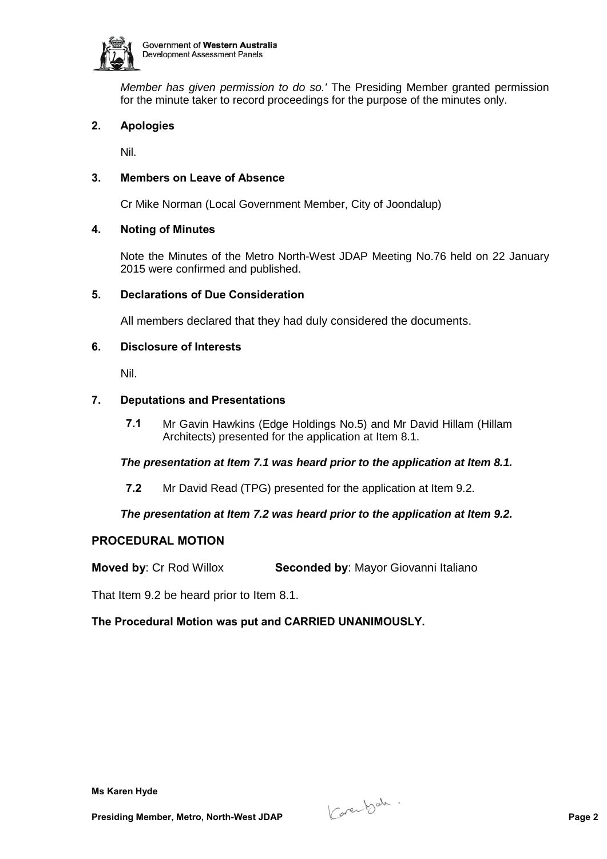

*Member has given permission to do so.'* The Presiding Member granted permission for the minute taker to record proceedings for the purpose of the minutes only.

# **2. Apologies**

Nil.

# **3. Members on Leave of Absence**

Cr Mike Norman (Local Government Member, City of Joondalup)

# **4. Noting of Minutes**

Note the Minutes of the Metro North-West JDAP Meeting No.76 held on 22 January 2015 were confirmed and published.

# **5. Declarations of Due Consideration**

All members declared that they had duly considered the documents.

# **6. Disclosure of Interests**

Nil.

# **7. Deputations and Presentations**

**7.1** Mr Gavin Hawkins (Edge Holdings No.5) and Mr David Hillam (Hillam Architects) presented for the application at Item 8.1.

# *The presentation at Item 7.1 was heard prior to the application at Item 8.1.*

**7.2** Mr David Read (TPG) presented for the application at Item 9.2.

# *The presentation at Item 7.2 was heard prior to the application at Item 9.2.*

# **PROCEDURAL MOTION**

**Moved by**: Cr Rod Willox **Seconded by**: Mayor Giovanni Italiano

That Item 9.2 be heard prior to Item 8.1.

# **The Procedural Motion was put and CARRIED UNANIMOUSLY.**

**Presiding Member, Metro, North-West JDAP Page 2**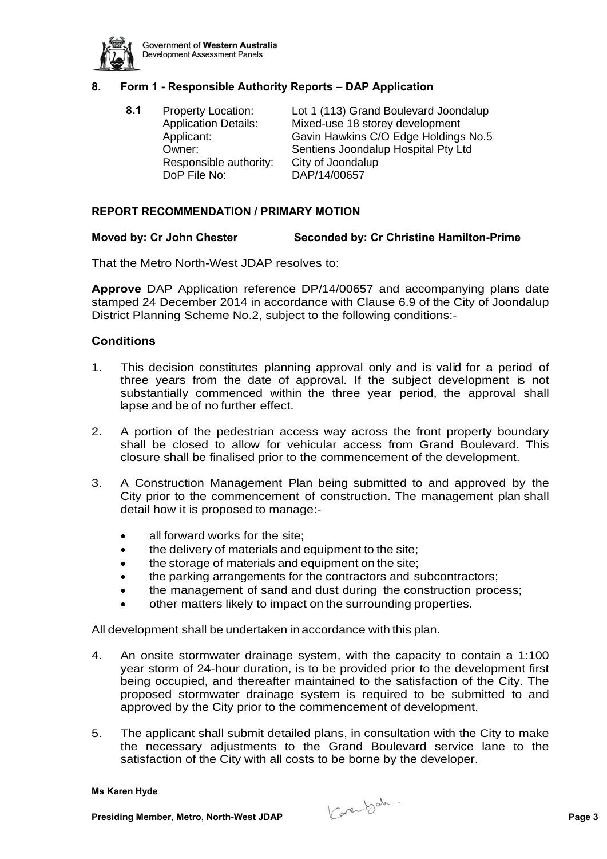

# **8. Form 1 - Responsible Authority Reports – DAP Application**

**8.1** Property Location: Lot 1 (113) Grand Boulevard Joondalup Application Details: Mixed-use 18 storey development Applicant: Gavin Hawkins C/O Edge Holdings No.5 Owner: Sentiens Joondalup Hospital Pty Ltd<br>Responsible authority: City of Joondalup Responsible authority: DoP File No: DAP/14/00657

### **REPORT RECOMMENDATION / PRIMARY MOTION**

### **Moved by: Cr John Chester Seconded by: Cr Christine Hamilton-Prime**

That the Metro North-West JDAP resolves to:

**Approve** DAP Application reference DP/14/00657 and accompanying plans date stamped 24 December 2014 in accordance with Clause 6.9 of the City of Joondalup District Planning Scheme No.2, subject to the following conditions:-

### **Conditions**

- 1. This decision constitutes planning approval only and is valid for a period of three years from the date of approval. If the subject development is not substantially commenced within the three year period, the approval shall lapse and be of no further effect.
- 2. A portion of the pedestrian access way across the front property boundary shall be closed to allow for vehicular access from Grand Boulevard. This closure shall be finalised prior to the commencement of the development.
- 3. A Construction Management Plan being submitted to and approved by the City prior to the commencement of construction. The management plan shall detail how it is proposed to manage:-
	- all forward works for the site:
	- the delivery of materials and equipment to the site:
	- the storage of materials and equipment on the site;
	- the parking arrangements for the contractors and subcontractors;
	- the management of sand and dust during the construction process;
	- other matters likely to impact on the surrounding properties.

All development shall be undertaken in accordance with this plan.

- 4. An onsite stormwater drainage system, with the capacity to contain a 1:100 year storm of 24-hour duration, is to be provided prior to the development first being occupied, and thereafter maintained to the satisfaction of the City. The proposed stormwater drainage system is required to be submitted to and approved by the City prior to the commencement of development.
- 5. The applicant shall submit detailed plans, in consultation with the City to make the necessary adjustments to the Grand Boulevard service lane to the satisfaction of the City with all costs to be borne by the developer.

**Presiding Member, Metro, North-West JDAP Page 3**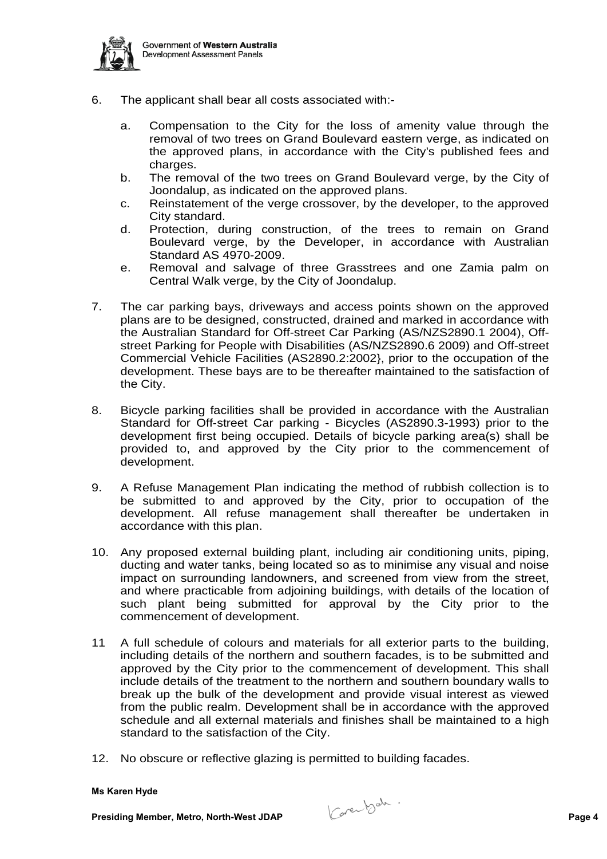

- 6. The applicant shall bear all costs associated with:
	- a. Compensation to the City for the loss of amenity value through the removal of two trees on Grand Boulevard eastern verge, as indicated on the approved plans, in accordance with the City's published fees and charges.
	- b. The removal of the two trees on Grand Boulevard verge, by the City of Joondalup, as indicated on the approved plans.
	- c. Reinstatement of the verge crossover, by the developer, to the approved City standard.
	- d. Protection, during construction, of the trees to remain on Grand Boulevard verge, by the Developer, in accordance with Australian Standard AS 4970-2009.
	- e. Removal and salvage of three Grasstrees and one Zamia palm on Central Walk verge, by the City of Joondalup.
- 7. The car parking bays, driveways and access points shown on the approved plans are to be designed, constructed, drained and marked in accordance with the Australian Standard for Off-street Car Parking (AS/NZS2890.1 2004), Offstreet Parking for People with Disabilities (AS/NZS2890.6 2009) and Off-street Commercial Vehicle Facilities (AS2890.2:2002}, prior to the occupation of the development. These bays are to be thereafter maintained to the satisfaction of the City.
- 8. Bicycle parking facilities shall be provided in accordance with the Australian Standard for Off-street Car parking - Bicycles (AS2890.3-1993) prior to the development first being occupied. Details of bicycle parking area(s) shall be provided to, and approved by the City prior to the commencement of development.
- 9. A Refuse Management Plan indicating the method of rubbish collection is to be submitted to and approved by the City, prior to occupation of the development. All refuse management shall thereafter be undertaken in accordance with this plan.
- 10. Any proposed external building plant, including air conditioning units, piping, ducting and water tanks, being located so as to minimise any visual and noise impact on surrounding landowners, and screened from view from the street, and where practicable from adjoining buildings, with details of the location of such plant being submitted for approval by the City prior to the commencement of development.
- 11 A full schedule of colours and materials for all exterior parts to the building, including details of the northern and southern facades, is to be submitted and approved by the City prior to the commencement of development. This shall include details of the treatment to the northern and southern boundary walls to break up the bulk of the development and provide visual interest as viewed from the public realm. Development shall be in accordance with the approved schedule and all external materials and finishes shall be maintained to a high standard to the satisfaction of the City.
- 12. No obscure or reflective glazing is permitted to building facades.

**Presiding Member, Metro, North-West JDAP Page 4 Page 4 Page 4 Page 4 Page 4**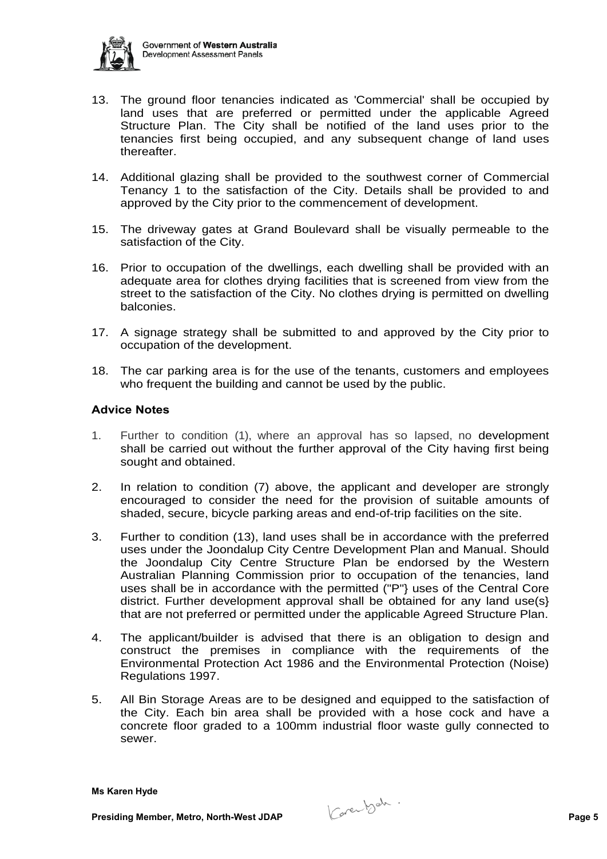

- 13. The ground floor tenancies indicated as 'Commercial' shall be occupied by land uses that are preferred or permitted under the applicable Agreed Structure Plan. The City shall be notified of the land uses prior to the tenancies first being occupied, and any subsequent change of land uses thereafter.
- 14. Additional glazing shall be provided to the southwest corner of Commercial Tenancy 1 to the satisfaction of the City. Details shall be provided to and approved by the City prior to the commencement of development.
- 15. The driveway gates at Grand Boulevard shall be visually permeable to the satisfaction of the City.
- 16. Prior to occupation of the dwellings, each dwelling shall be provided with an adequate area for clothes drying facilities that is screened from view from the street to the satisfaction of the City. No clothes drying is permitted on dwelling balconies.
- 17. A signage strategy shall be submitted to and approved by the City prior to occupation of the development.
- 18. The car parking area is for the use of the tenants, customers and employees who frequent the building and cannot be used by the public.

# **Advice Notes**

- 1. Further to condition (1), where an approval has so lapsed, no development shall be carried out without the further approval of the City having first being sought and obtained.
- 2. In relation to condition (7) above, the applicant and developer are strongly encouraged to consider the need for the provision of suitable amounts of shaded, secure, bicycle parking areas and end-of-trip facilities on the site.
- 3. Further to condition (13), land uses shall be in accordance with the preferred uses under the Joondalup City Centre Development Plan and Manual. Should the Joondalup City Centre Structure Plan be endorsed by the Western Australian Planning Commission prior to occupation of the tenancies, land uses shall be in accordance with the permitted ("P"} uses of the Central Core district. Further development approval shall be obtained for any land use(s} that are not preferred or permitted under the applicable Agreed Structure Plan.
- 4. The applicant/builder is advised that there is an obligation to design and construct the premises in compliance with the requirements of the Environmental Protection Act 1986 and the Environmental Protection (Noise) Regulations 1997.
- 5. All Bin Storage Areas are to be designed and equipped to the satisfaction of the City. Each bin area shall be provided with a hose cock and have a concrete floor graded to a 100mm industrial floor waste gully connected to sewer.

**Presiding Member, Metro, North-West JDAP Page 5**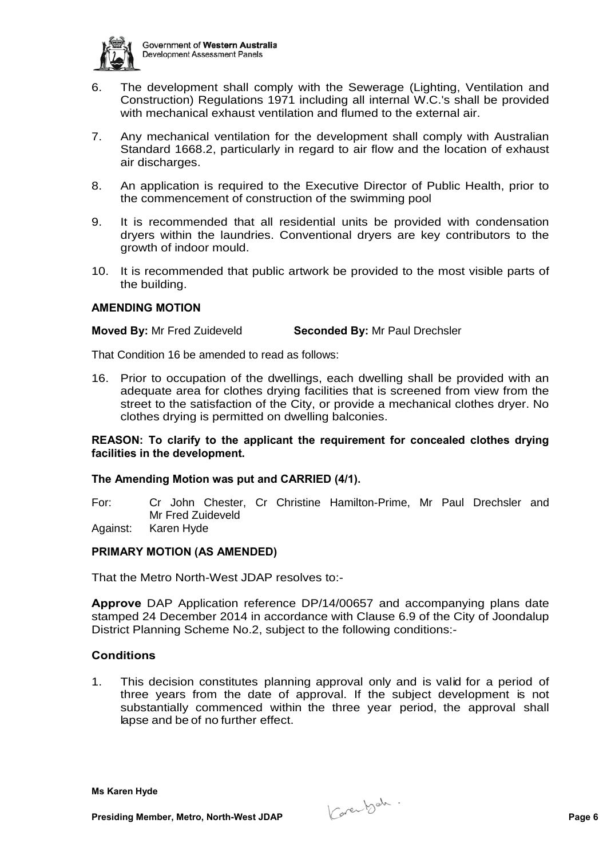

- 6. The development shall comply with the Sewerage (Lighting, Ventilation and Construction) Regulations 1971 including all internal W.C.'s shall be provided with mechanical exhaust ventilation and flumed to the external air.
- 7. Any mechanical ventilation for the development shall comply with Australian Standard 1668.2, particularly in regard to air flow and the location of exhaust air discharges.
- 8. An application is required to the Executive Director of Public Health, prior to the commencement of construction of the swimming pool
- 9. It is recommended that all residential units be provided with condensation dryers within the laundries. Conventional dryers are key contributors to the growth of indoor mould.
- 10. It is recommended that public artwork be provided to the most visible parts of the building.

### **AMENDING MOTION**

### **Moved By:** Mr Fred Zuideveld **Seconded By:** Mr Paul Drechsler

That Condition 16 be amended to read as follows:

16. Prior to occupation of the dwellings, each dwelling shall be provided with an adequate area for clothes drying facilities that is screened from view from the street to the satisfaction of the City, or provide a mechanical clothes dryer. No clothes drying is permitted on dwelling balconies.

### **REASON: To clarify to the applicant the requirement for concealed clothes drying facilities in the development.**

# **The Amending Motion was put and CARRIED (4/1).**

- For: Cr John Chester, Cr Christine Hamilton-Prime, Mr Paul Drechsler and Mr Fred Zuideveld
- Against: Karen Hyde

# **PRIMARY MOTION (AS AMENDED)**

That the Metro North-West JDAP resolves to:-

**Approve** DAP Application reference DP/14/00657 and accompanying plans date stamped 24 December 2014 in accordance with Clause 6.9 of the City of Joondalup District Planning Scheme No.2, subject to the following conditions:-

# **Conditions**

1. This decision constitutes planning approval only and is valid for a period of three years from the date of approval. If the subject development is not substantially commenced within the three year period, the approval shall lapse and be of no further effect.

**Presiding Member, Metro, North-West JDAP Page 6**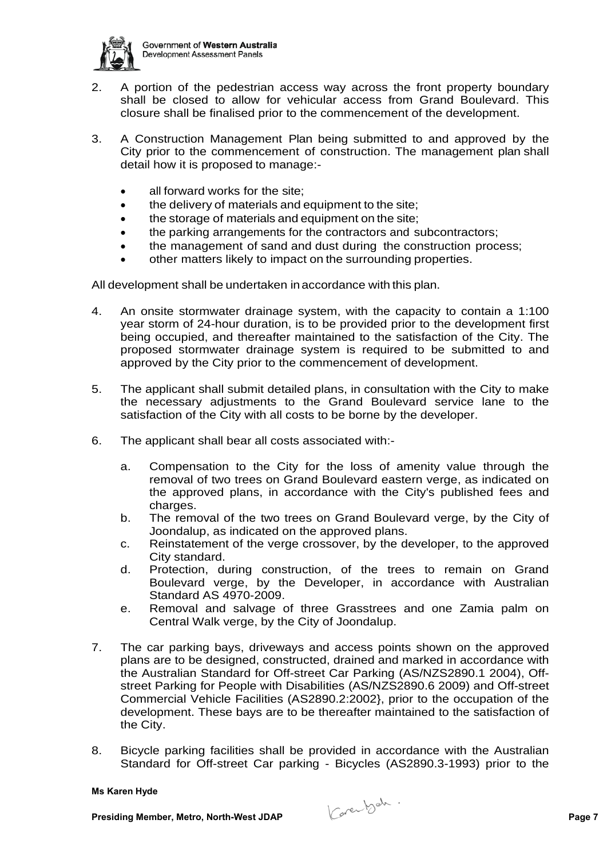

- 2. A portion of the pedestrian access way across the front property boundary shall be closed to allow for vehicular access from Grand Boulevard. This closure shall be finalised prior to the commencement of the development.
- 3. A Construction Management Plan being submitted to and approved by the City prior to the commencement of construction. The management plan shall detail how it is proposed to manage:-
	- all forward works for the site;
	- the delivery of materials and equipment to the site;
	- the storage of materials and equipment on the site;
	- the parking arrangements for the contractors and subcontractors;
	- the management of sand and dust during the construction process;
	- other matters likely to impact on the surrounding properties.

All development shall be undertaken in accordance with this plan.

- 4. An onsite stormwater drainage system, with the capacity to contain a 1:100 year storm of 24-hour duration, is to be provided prior to the development first being occupied, and thereafter maintained to the satisfaction of the City. The proposed stormwater drainage system is required to be submitted to and approved by the City prior to the commencement of development.
- 5. The applicant shall submit detailed plans, in consultation with the City to make the necessary adjustments to the Grand Boulevard service lane to the satisfaction of the City with all costs to be borne by the developer.
- 6. The applicant shall bear all costs associated with:
	- a. Compensation to the City for the loss of amenity value through the removal of two trees on Grand Boulevard eastern verge, as indicated on the approved plans, in accordance with the City's published fees and charges.
	- b. The removal of the two trees on Grand Boulevard verge, by the City of Joondalup, as indicated on the approved plans.
	- c. Reinstatement of the verge crossover, by the developer, to the approved City standard.
	- d. Protection, during construction, of the trees to remain on Grand Boulevard verge, by the Developer, in accordance with Australian Standard AS 4970-2009.
	- e. Removal and salvage of three Grasstrees and one Zamia palm on Central Walk verge, by the City of Joondalup.
- 7. The car parking bays, driveways and access points shown on the approved plans are to be designed, constructed, drained and marked in accordance with the Australian Standard for Off-street Car Parking (AS/NZS2890.1 2004), Offstreet Parking for People with Disabilities (AS/NZS2890.6 2009) and Off-street Commercial Vehicle Facilities (AS2890.2:2002}, prior to the occupation of the development. These bays are to be thereafter maintained to the satisfaction of the City.
- 8. Bicycle parking facilities shall be provided in accordance with the Australian Standard for Off-street Car parking - Bicycles (AS2890.3-1993) prior to the

**Presiding Member, Metro, North-West JDAP Page 7**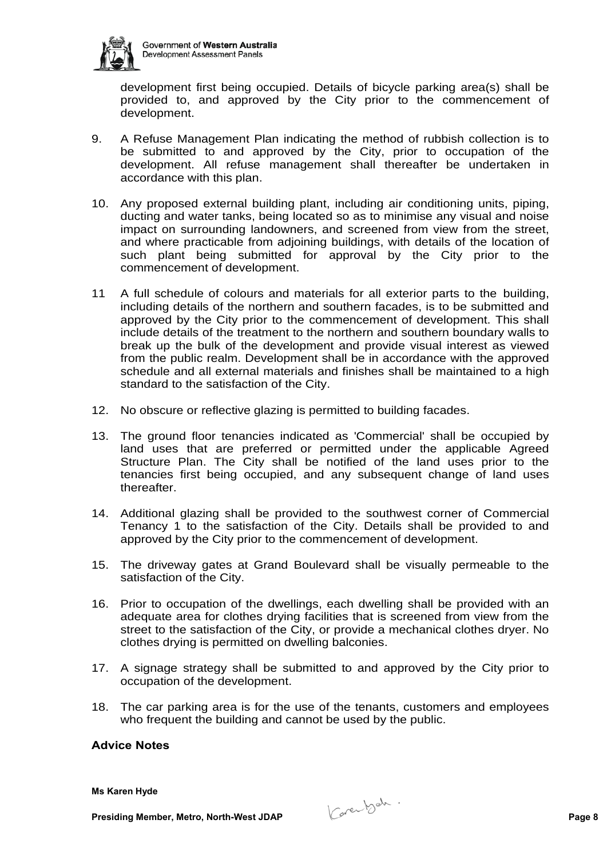

development first being occupied. Details of bicycle parking area(s) shall be provided to, and approved by the City prior to the commencement of development.

- 9. A Refuse Management Plan indicating the method of rubbish collection is to be submitted to and approved by the City, prior to occupation of the development. All refuse management shall thereafter be undertaken in accordance with this plan.
- 10. Any proposed external building plant, including air conditioning units, piping, ducting and water tanks, being located so as to minimise any visual and noise impact on surrounding landowners, and screened from view from the street, and where practicable from adjoining buildings, with details of the location of such plant being submitted for approval by the City prior to the commencement of development.
- 11 A full schedule of colours and materials for all exterior parts to the building, including details of the northern and southern facades, is to be submitted and approved by the City prior to the commencement of development. This shall include details of the treatment to the northern and southern boundary walls to break up the bulk of the development and provide visual interest as viewed from the public realm. Development shall be in accordance with the approved schedule and all external materials and finishes shall be maintained to a high standard to the satisfaction of the City.
- 12. No obscure or reflective glazing is permitted to building facades.
- 13. The ground floor tenancies indicated as 'Commercial' shall be occupied by land uses that are preferred or permitted under the applicable Agreed Structure Plan. The City shall be notified of the land uses prior to the tenancies first being occupied, and any subsequent change of land uses thereafter.
- 14. Additional glazing shall be provided to the southwest corner of Commercial Tenancy 1 to the satisfaction of the City. Details shall be provided to and approved by the City prior to the commencement of development.
- 15. The driveway gates at Grand Boulevard shall be visually permeable to the satisfaction of the City.
- 16. Prior to occupation of the dwellings, each dwelling shall be provided with an adequate area for clothes drying facilities that is screened from view from the street to the satisfaction of the City, or provide a mechanical clothes dryer. No clothes drying is permitted on dwelling balconies.
- 17. A signage strategy shall be submitted to and approved by the City prior to occupation of the development.
- 18. The car parking area is for the use of the tenants, customers and employees who frequent the building and cannot be used by the public.

# **Advice Notes**

**Presiding Member, Metro, North-West JDAP Page 8**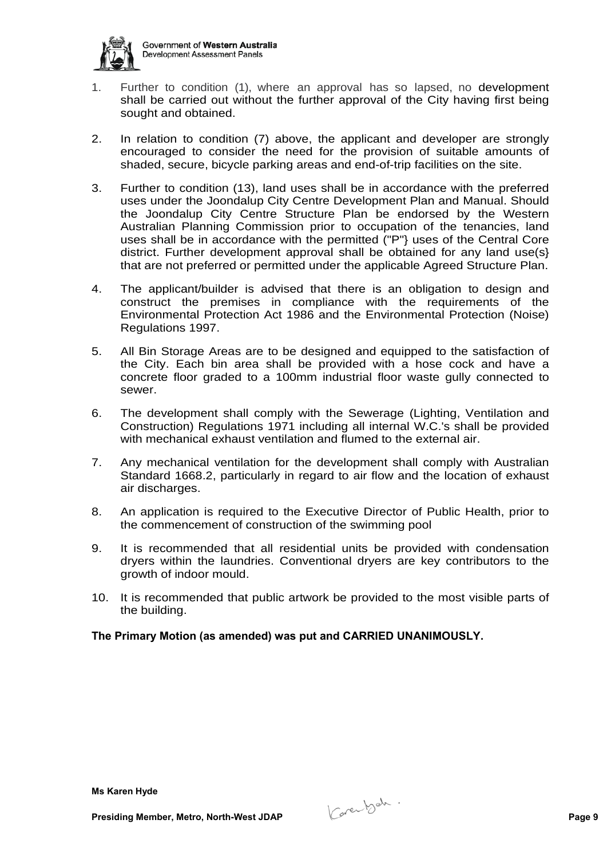

- 1. Further to condition (1), where an approval has so lapsed, no development shall be carried out without the further approval of the City having first being sought and obtained.
- 2. In relation to condition (7) above, the applicant and developer are strongly encouraged to consider the need for the provision of suitable amounts of shaded, secure, bicycle parking areas and end-of-trip facilities on the site.
- 3. Further to condition (13), land uses shall be in accordance with the preferred uses under the Joondalup City Centre Development Plan and Manual. Should the Joondalup City Centre Structure Plan be endorsed by the Western Australian Planning Commission prior to occupation of the tenancies, land uses shall be in accordance with the permitted ("P"} uses of the Central Core district. Further development approval shall be obtained for any land use(s} that are not preferred or permitted under the applicable Agreed Structure Plan.
- 4. The applicant/builder is advised that there is an obligation to design and construct the premises in compliance with the requirements of the Environmental Protection Act 1986 and the Environmental Protection (Noise) Regulations 1997.
- 5. All Bin Storage Areas are to be designed and equipped to the satisfaction of the City. Each bin area shall be provided with a hose cock and have a concrete floor graded to a 100mm industrial floor waste gully connected to sewer.
- 6. The development shall comply with the Sewerage (Lighting, Ventilation and Construction) Regulations 1971 including all internal W.C.'s shall be provided with mechanical exhaust ventilation and flumed to the external air.
- 7. Any mechanical ventilation for the development shall comply with Australian Standard 1668.2, particularly in regard to air flow and the location of exhaust air discharges.
- 8. An application is required to the Executive Director of Public Health, prior to the commencement of construction of the swimming pool
- 9. It is recommended that all residential units be provided with condensation dryers within the laundries. Conventional dryers are key contributors to the growth of indoor mould.
- 10. It is recommended that public artwork be provided to the most visible parts of the building.

# **The Primary Motion (as amended) was put and CARRIED UNANIMOUSLY.**

**Ms Karen Hyde**

**Presiding Member, Metro, North-West JDAP Page 9**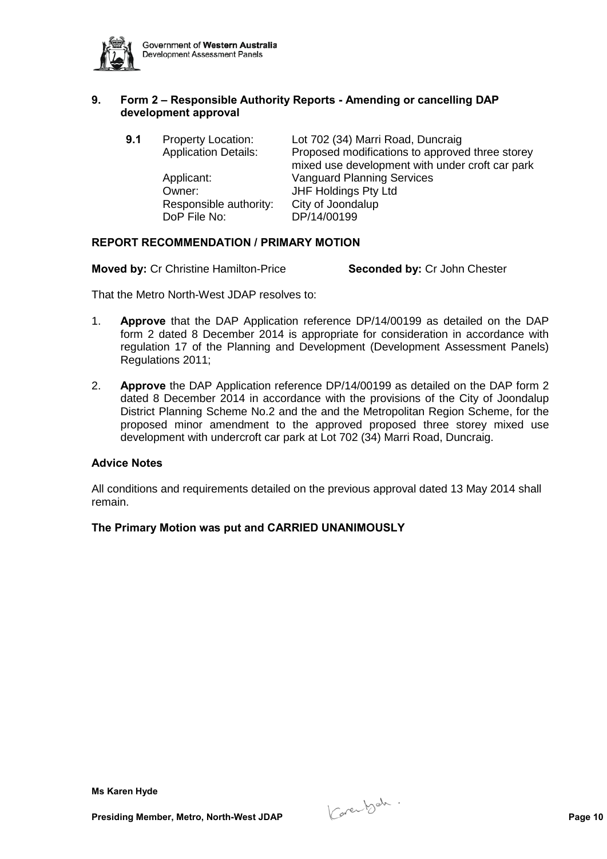

# **9. Form 2 – Responsible Authority Reports - Amending or cancelling DAP development approval**

| 9.1 | <b>Property Location:</b><br><b>Application Details:</b>       | Lot 702 (34) Marri Road, Duncraig<br>Proposed modifications to approved three storey<br>mixed use development with under croft car park |
|-----|----------------------------------------------------------------|-----------------------------------------------------------------------------------------------------------------------------------------|
|     | Applicant:<br>Owner:<br>Responsible authority:<br>DoP File No: | <b>Vanguard Planning Services</b><br>JHF Holdings Pty Ltd<br>City of Joondalup<br>DP/14/00199                                           |

### **REPORT RECOMMENDATION / PRIMARY MOTION**

**Moved by:** Cr Christine Hamilton-Price **Seconded by:** Cr John Chester

That the Metro North-West JDAP resolves to:

- 1. **Approve** that the DAP Application reference DP/14/00199 as detailed on the DAP form 2 dated 8 December 2014 is appropriate for consideration in accordance with regulation 17 of the Planning and Development (Development Assessment Panels) Regulations 2011;
- 2. **Approve** the DAP Application reference DP/14/00199 as detailed on the DAP form 2 dated 8 December 2014 in accordance with the provisions of the City of Joondalup District Planning Scheme No.2 and the and the Metropolitan Region Scheme, for the proposed minor amendment to the approved proposed three storey mixed use development with undercroft car park at Lot 702 (34) Marri Road, Duncraig.

### **Advice Notes**

All conditions and requirements detailed on the previous approval dated 13 May 2014 shall remain.

#### **The Primary Motion was put and CARRIED UNANIMOUSLY**

**Presiding Member, Metro, North-West JDAP Page 10**